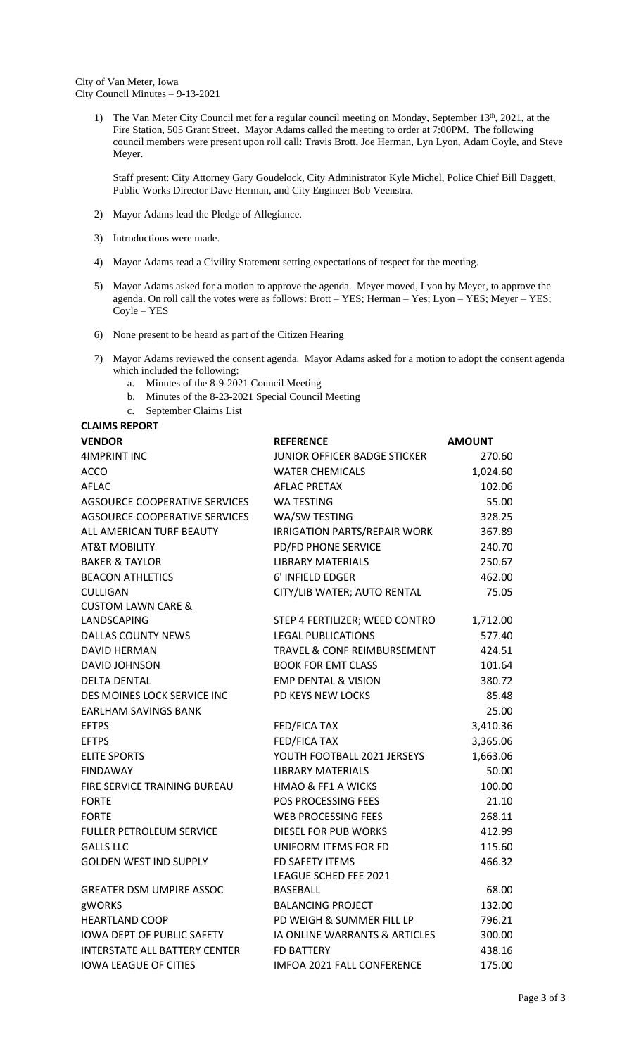City of Van Meter, Iowa City Council Minutes – 9-13-2021

> 1) The Van Meter City Council met for a regular council meeting on Monday, September 13<sup>th</sup>, 2021, at the Fire Station, 505 Grant Street. Mayor Adams called the meeting to order at 7:00PM. The following council members were present upon roll call: Travis Brott, Joe Herman, Lyn Lyon, Adam Coyle, and Steve Meyer.

Staff present: City Attorney Gary Goudelock, City Administrator Kyle Michel, Police Chief Bill Daggett, Public Works Director Dave Herman, and City Engineer Bob Veenstra.

- 2) Mayor Adams lead the Pledge of Allegiance.
- 3) Introductions were made.
- 4) Mayor Adams read a Civility Statement setting expectations of respect for the meeting.
- 5) Mayor Adams asked for a motion to approve the agenda. Meyer moved, Lyon by Meyer, to approve the agenda. On roll call the votes were as follows: Brott – YES; Herman – Yes; Lyon – YES; Meyer – YES; Coyle – YES
- 6) None present to be heard as part of the Citizen Hearing
- 7) Mayor Adams reviewed the consent agenda. Mayor Adams asked for a motion to adopt the consent agenda which included the following:
	- a. Minutes of the 8-9-2021 Council Meeting
	- b. Minutes of the 8-23-2021 Special Council Meeting
	- c. September Claims List

# **CLAIMS REPORT**

| <b>VENDOR</b>                        | <b>REFERENCE</b>                    | <b>AMOUNT</b> |
|--------------------------------------|-------------------------------------|---------------|
| <b>4IMPRINT INC</b>                  | JUNIOR OFFICER BADGE STICKER        | 270.60        |
| <b>ACCO</b>                          | <b>WATER CHEMICALS</b>              | 1,024.60      |
| <b>AFLAC</b>                         | <b>AFLAC PRETAX</b>                 | 102.06        |
| AGSOURCE COOPERATIVE SERVICES        | <b>WA TESTING</b>                   | 55.00         |
| AGSOURCE COOPERATIVE SERVICES        | WA/SW TESTING                       | 328.25        |
| ALL AMERICAN TURF BEAUTY             | <b>IRRIGATION PARTS/REPAIR WORK</b> | 367.89        |
| <b>AT&amp;T MOBILITY</b>             | <b>PD/FD PHONE SERVICE</b>          | 240.70        |
| <b>BAKER &amp; TAYLOR</b>            | <b>LIBRARY MATERIALS</b>            | 250.67        |
| <b>BEACON ATHLETICS</b>              | 6' INFIELD EDGER                    | 462.00        |
| <b>CULLIGAN</b>                      | CITY/LIB WATER; AUTO RENTAL         | 75.05         |
| <b>CUSTOM LAWN CARE &amp;</b>        |                                     |               |
| LANDSCAPING                          | STEP 4 FERTILIZER; WEED CONTRO      | 1,712.00      |
| <b>DALLAS COUNTY NEWS</b>            | <b>LEGAL PUBLICATIONS</b>           | 577.40        |
| <b>DAVID HERMAN</b>                  | TRAVEL & CONF REIMBURSEMENT         | 424.51        |
| <b>DAVID JOHNSON</b>                 | <b>BOOK FOR EMT CLASS</b>           | 101.64        |
| <b>DELTA DENTAL</b>                  | <b>EMP DENTAL &amp; VISION</b>      | 380.72        |
| DES MOINES LOCK SERVICE INC          | PD KEYS NEW LOCKS                   | 85.48         |
| <b>EARLHAM SAVINGS BANK</b>          |                                     | 25.00         |
| <b>EFTPS</b>                         | FED/FICA TAX                        | 3,410.36      |
| <b>EFTPS</b>                         | FED/FICA TAX                        | 3,365.06      |
| <b>ELITE SPORTS</b>                  | YOUTH FOOTBALL 2021 JERSEYS         | 1,663.06      |
| <b>FINDAWAY</b>                      | <b>LIBRARY MATERIALS</b>            | 50.00         |
| FIRE SERVICE TRAINING BUREAU         | HMAO & FF1 A WICKS                  | 100.00        |
| <b>FORTE</b>                         | POS PROCESSING FEES                 | 21.10         |
| <b>FORTE</b>                         | <b>WEB PROCESSING FEES</b>          | 268.11        |
| <b>FULLER PETROLEUM SERVICE</b>      | <b>DIESEL FOR PUB WORKS</b>         | 412.99        |
| <b>GALLS LLC</b>                     | UNIFORM ITEMS FOR FD                | 115.60        |
| <b>GOLDEN WEST IND SUPPLY</b>        | FD SAFETY ITEMS                     | 466.32        |
|                                      | LEAGUE SCHED FEE 2021               |               |
| <b>GREATER DSM UMPIRE ASSOC</b>      | BASEBALL                            | 68.00         |
| gWORKS                               | <b>BALANCING PROJECT</b>            | 132.00        |
| <b>HEARTLAND COOP</b>                | PD WEIGH & SUMMER FILL LP           | 796.21        |
| <b>IOWA DEPT OF PUBLIC SAFETY</b>    | IA ONLINE WARRANTS & ARTICLES       | 300.00        |
| <b>INTERSTATE ALL BATTERY CENTER</b> | <b>FD BATTERY</b>                   | 438.16        |
| <b>IOWA LEAGUE OF CITIES</b>         | IMFOA 2021 FALL CONFERENCE          | 175.00        |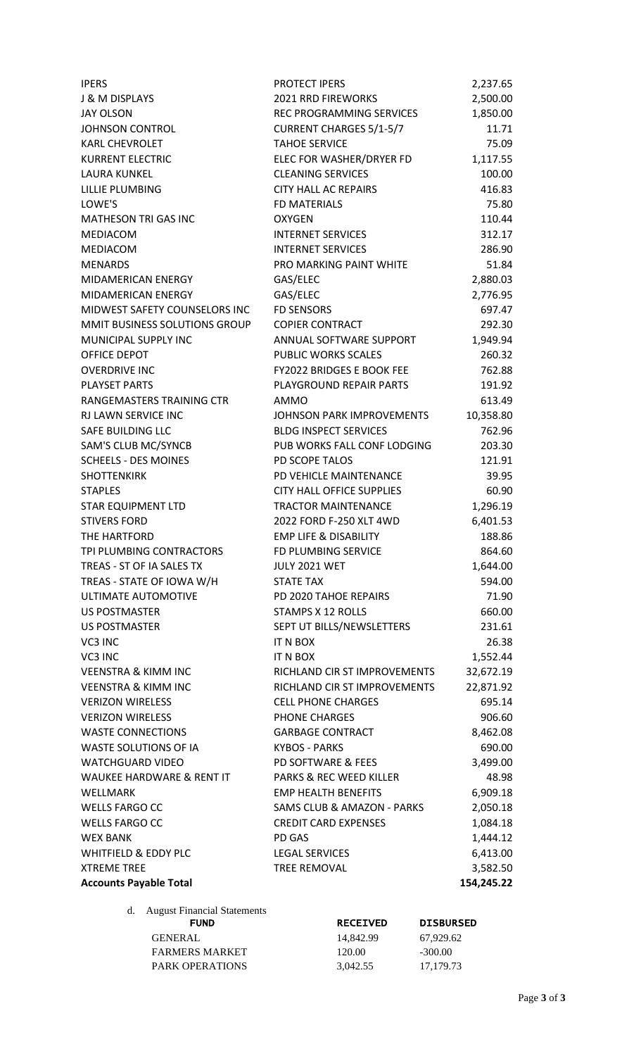| <b>IPERS</b>                    | <b>PROTECT IPERS</b>             | 2,237.65   |
|---------------------------------|----------------------------------|------------|
| <b>J &amp; M DISPLAYS</b>       | <b>2021 RRD FIREWORKS</b>        | 2,500.00   |
| <b>JAY OLSON</b>                | REC PROGRAMMING SERVICES         | 1,850.00   |
| <b>JOHNSON CONTROL</b>          | <b>CURRENT CHARGES 5/1-5/7</b>   | 11.71      |
| <b>KARL CHEVROLET</b>           | <b>TAHOE SERVICE</b>             | 75.09      |
| <b>KURRENT ELECTRIC</b>         | ELEC FOR WASHER/DRYER FD         | 1,117.55   |
| <b>LAURA KUNKEL</b>             | <b>CLEANING SERVICES</b>         | 100.00     |
| LILLIE PLUMBING                 | <b>CITY HALL AC REPAIRS</b>      | 416.83     |
| LOWE'S                          | <b>FD MATERIALS</b>              | 75.80      |
| MATHESON TRI GAS INC            | <b>OXYGEN</b>                    | 110.44     |
| MEDIACOM                        | <b>INTERNET SERVICES</b>         | 312.17     |
| <b>MEDIACOM</b>                 | <b>INTERNET SERVICES</b>         | 286.90     |
| <b>MENARDS</b>                  | PRO MARKING PAINT WHITE          | 51.84      |
| MIDAMERICAN ENERGY              | GAS/ELEC                         | 2,880.03   |
| MIDAMERICAN ENERGY              | GAS/ELEC                         | 2,776.95   |
| MIDWEST SAFETY COUNSELORS INC   | <b>FD SENSORS</b>                | 697.47     |
| MMIT BUSINESS SOLUTIONS GROUP   | <b>COPIER CONTRACT</b>           | 292.30     |
| MUNICIPAL SUPPLY INC            | ANNUAL SOFTWARE SUPPORT          | 1,949.94   |
| OFFICE DEPOT                    | <b>PUBLIC WORKS SCALES</b>       | 260.32     |
| <b>OVERDRIVE INC</b>            | FY2022 BRIDGES E BOOK FEE        | 762.88     |
| <b>PLAYSET PARTS</b>            | PLAYGROUND REPAIR PARTS          | 191.92     |
| RANGEMASTERS TRAINING CTR       | <b>AMMO</b>                      | 613.49     |
| RJ LAWN SERVICE INC             | JOHNSON PARK IMPROVEMENTS        | 10,358.80  |
| SAFE BUILDING LLC               | <b>BLDG INSPECT SERVICES</b>     | 762.96     |
| SAM'S CLUB MC/SYNCB             | PUB WORKS FALL CONF LODGING      | 203.30     |
| <b>SCHEELS - DES MOINES</b>     | PD SCOPE TALOS                   | 121.91     |
| <b>SHOTTENKIRK</b>              | PD VEHICLE MAINTENANCE           | 39.95      |
| <b>STAPLES</b>                  | <b>CITY HALL OFFICE SUPPLIES</b> | 60.90      |
| <b>STAR EQUIPMENT LTD</b>       | <b>TRACTOR MAINTENANCE</b>       | 1,296.19   |
| <b>STIVERS FORD</b>             | 2022 FORD F-250 XLT 4WD          | 6,401.53   |
| THE HARTFORD                    | <b>EMP LIFE &amp; DISABILITY</b> | 188.86     |
| TPI PLUMBING CONTRACTORS        | FD PLUMBING SERVICE              | 864.60     |
| TREAS - ST OF IA SALES TX       | <b>JULY 2021 WET</b>             | 1,644.00   |
| TREAS - STATE OF IOWA W/H       | <b>STATE TAX</b>                 | 594.00     |
| ULTIMATE AUTOMOTIVE             | PD 2020 TAHOE REPAIRS            | 71.90      |
| <b>US POSTMASTER</b>            | STAMPS X 12 ROLLS                | 660.00     |
| <b>US POSTMASTER</b>            | SEPT UT BILLS/NEWSLETTERS        | 231.61     |
| VC3 INC                         | IT N BOX                         | 26.38      |
| VC3 INC                         | IT N BOX                         | 1,552.44   |
| <b>VEENSTRA &amp; KIMM INC</b>  | RICHLAND CIR ST IMPROVEMENTS     | 32,672.19  |
| <b>VEENSTRA &amp; KIMM INC</b>  | RICHLAND CIR ST IMPROVEMENTS     | 22,871.92  |
| <b>VERIZON WIRELESS</b>         | <b>CELL PHONE CHARGES</b>        | 695.14     |
| <b>VERIZON WIRELESS</b>         | PHONE CHARGES                    | 906.60     |
| <b>WASTE CONNECTIONS</b>        | <b>GARBAGE CONTRACT</b>          | 8,462.08   |
| WASTE SOLUTIONS OF IA           | <b>KYBOS - PARKS</b>             | 690.00     |
| <b>WATCHGUARD VIDEO</b>         | PD SOFTWARE & FEES               | 3,499.00   |
| WAUKEE HARDWARE & RENT IT       | PARKS & REC WEED KILLER          | 48.98      |
| WELLMARK                        | <b>EMP HEALTH BENEFITS</b>       | 6,909.18   |
| <b>WELLS FARGO CC</b>           | SAMS CLUB & AMAZON - PARKS       | 2,050.18   |
| <b>WELLS FARGO CC</b>           | <b>CREDIT CARD EXPENSES</b>      | 1,084.18   |
| <b>WEX BANK</b>                 | PD GAS                           | 1,444.12   |
| <b>WHITFIELD &amp; EDDY PLC</b> | <b>LEGAL SERVICES</b>            | 6,413.00   |
| <b>XTREME TREE</b>              | TREE REMOVAL                     | 3,582.50   |
| <b>Accounts Payable Total</b>   |                                  | 154,245.22 |
|                                 |                                  |            |

d. August Financial Statements

GENERAL 14,842.99 67,929.62 FARMERS MARKET 120.00 -300.00 PARK OPERATIONS 3,042.55 17,179.73

FUND RECEIVED DISBURSED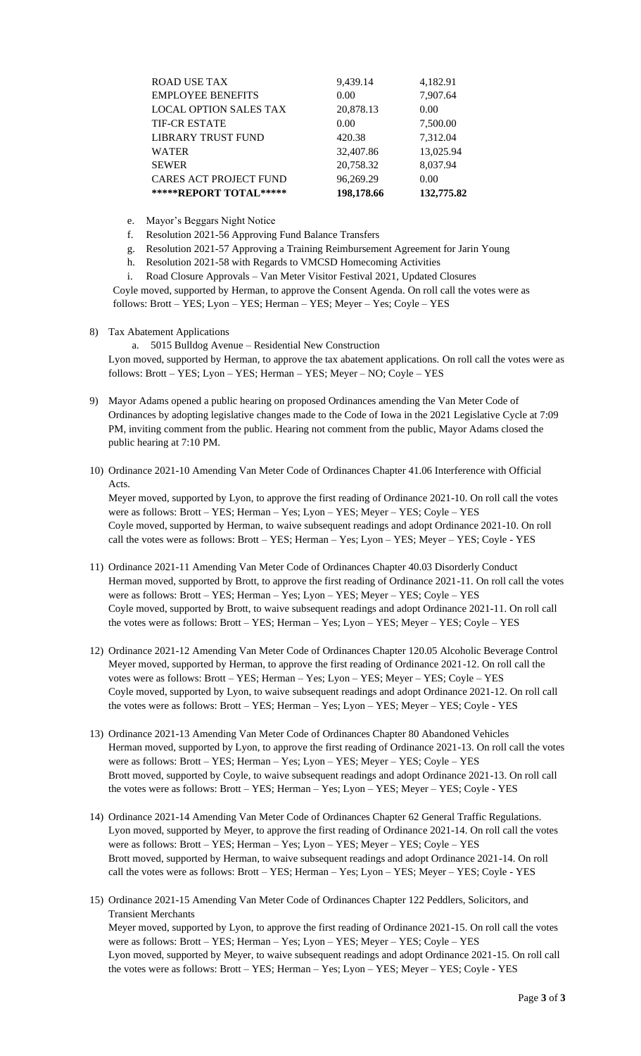| *****REPORT TOTAL*****        | 198,178.66 | 132,775.82 |
|-------------------------------|------------|------------|
| <b>CARES ACT PROJECT FUND</b> | 96,269.29  | 0.00       |
| <b>SEWER</b>                  | 20,758.32  | 8,037.94   |
| <b>WATER</b>                  | 32,407.86  | 13,025.94  |
| <b>LIBRARY TRUST FUND</b>     | 420.38     | 7,312.04   |
| <b>TIF-CR ESTATE</b>          | 0.00       | 7,500.00   |
| <b>LOCAL OPTION SALES TAX</b> | 20,878.13  | 0.00       |
| <b>EMPLOYEE BENEFITS</b>      | 0.00       | 7,907.64   |
| <b>ROAD USE TAX</b>           | 9,439.14   | 4,182.91   |
|                               |            |            |

- e. Mayor's Beggars Night Notice
- f. Resolution 2021-56 Approving Fund Balance Transfers
- g. Resolution 2021-57 Approving a Training Reimbursement Agreement for Jarin Young
- h. Resolution 2021-58 with Regards to VMCSD Homecoming Activities
- i. Road Closure Approvals Van Meter Visitor Festival 2021, Updated Closures

Coyle moved, supported by Herman, to approve the Consent Agenda. On roll call the votes were as follows: Brott – YES; Lyon – YES; Herman – YES; Meyer – Yes; Coyle – YES

#### 8) Tax Abatement Applications

a. 5015 Bulldog Avenue – Residential New Construction Lyon moved, supported by Herman, to approve the tax abatement applications. On roll call the votes were as follows: Brott – YES; Lyon – YES; Herman – YES; Meyer – NO; Coyle – YES

- 9) Mayor Adams opened a public hearing on proposed Ordinances amending the Van Meter Code of Ordinances by adopting legislative changes made to the Code of Iowa in the 2021 Legislative Cycle at 7:09 PM, inviting comment from the public. Hearing not comment from the public, Mayor Adams closed the public hearing at 7:10 PM.
- 10) Ordinance 2021-10 Amending Van Meter Code of Ordinances Chapter 41.06 Interference with Official Acts.

Meyer moved, supported by Lyon, to approve the first reading of Ordinance 2021-10. On roll call the votes were as follows: Brott – YES; Herman – Yes; Lyon – YES; Meyer – YES; Coyle – YES Coyle moved, supported by Herman, to waive subsequent readings and adopt Ordinance 2021-10. On roll call the votes were as follows: Brott – YES; Herman – Yes; Lyon – YES; Meyer – YES; Coyle - YES

- 11) Ordinance 2021-11 Amending Van Meter Code of Ordinances Chapter 40.03 Disorderly Conduct Herman moved, supported by Brott, to approve the first reading of Ordinance 2021-11. On roll call the votes were as follows: Brott – YES; Herman – Yes; Lyon – YES; Meyer – YES; Coyle – YES Coyle moved, supported by Brott, to waive subsequent readings and adopt Ordinance 2021-11. On roll call the votes were as follows: Brott – YES; Herman – Yes; Lyon – YES; Meyer – YES; Coyle – YES
- 12) Ordinance 2021-12 Amending Van Meter Code of Ordinances Chapter 120.05 Alcoholic Beverage Control Meyer moved, supported by Herman, to approve the first reading of Ordinance 2021-12. On roll call the votes were as follows: Brott – YES; Herman – Yes; Lyon – YES; Meyer – YES; Coyle – YES Coyle moved, supported by Lyon, to waive subsequent readings and adopt Ordinance 2021-12. On roll call the votes were as follows: Brott – YES; Herman – Yes; Lyon – YES; Meyer – YES; Coyle - YES
- 13) Ordinance 2021-13 Amending Van Meter Code of Ordinances Chapter 80 Abandoned Vehicles Herman moved, supported by Lyon, to approve the first reading of Ordinance 2021-13. On roll call the votes were as follows: Brott – YES; Herman – Yes; Lyon – YES; Meyer – YES; Coyle – YES Brott moved, supported by Coyle, to waive subsequent readings and adopt Ordinance 2021-13. On roll call the votes were as follows: Brott – YES; Herman – Yes; Lyon – YES; Meyer – YES; Coyle - YES
- 14) Ordinance 2021-14 Amending Van Meter Code of Ordinances Chapter 62 General Traffic Regulations. Lyon moved, supported by Meyer, to approve the first reading of Ordinance 2021-14. On roll call the votes were as follows: Brott – YES; Herman – Yes; Lyon – YES; Meyer – YES; Coyle – YES Brott moved, supported by Herman, to waive subsequent readings and adopt Ordinance 2021-14. On roll call the votes were as follows: Brott – YES; Herman – Yes; Lyon – YES; Meyer – YES; Coyle - YES
- 15) Ordinance 2021-15 Amending Van Meter Code of Ordinances Chapter 122 Peddlers, Solicitors, and Transient Merchants Meyer moved, supported by Lyon, to approve the first reading of Ordinance 2021-15. On roll call the votes were as follows: Brott – YES; Herman – Yes; Lyon – YES; Meyer – YES; Coyle – YES Lyon moved, supported by Meyer, to waive subsequent readings and adopt Ordinance 2021-15. On roll call the votes were as follows: Brott – YES; Herman – Yes; Lyon – YES; Meyer – YES; Coyle - YES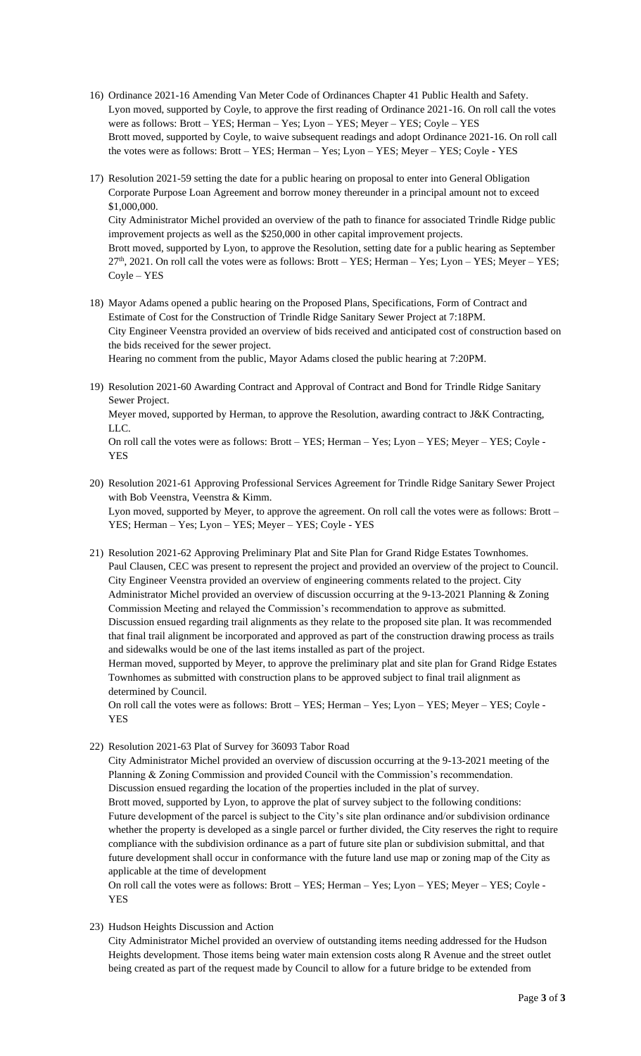- 16) Ordinance 2021-16 Amending Van Meter Code of Ordinances Chapter 41 Public Health and Safety. Lyon moved, supported by Coyle, to approve the first reading of Ordinance 2021-16. On roll call the votes were as follows: Brott – YES; Herman – Yes; Lyon – YES; Meyer – YES; Coyle – YES Brott moved, supported by Coyle, to waive subsequent readings and adopt Ordinance 2021-16. On roll call the votes were as follows: Brott – YES; Herman – Yes; Lyon – YES; Meyer – YES; Coyle - YES
- 17) Resolution 2021-59 setting the date for a public hearing on proposal to enter into General Obligation Corporate Purpose Loan Agreement and borrow money thereunder in a principal amount not to exceed \$1,000,000. City Administrator Michel provided an overview of the path to finance for associated Trindle Ridge public improvement projects as well as the \$250,000 in other capital improvement projects. Brott moved, supported by Lyon, to approve the Resolution, setting date for a public hearing as September  $27<sup>th</sup>$ , 2021. On roll call the votes were as follows: Brott – YES; Herman – Yes; Lyon – YES; Meyer – YES; Coyle – YES
- 18) Mayor Adams opened a public hearing on the Proposed Plans, Specifications, Form of Contract and Estimate of Cost for the Construction of Trindle Ridge Sanitary Sewer Project at 7:18PM. City Engineer Veenstra provided an overview of bids received and anticipated cost of construction based on the bids received for the sewer project.

Hearing no comment from the public, Mayor Adams closed the public hearing at 7:20PM.

19) Resolution 2021-60 Awarding Contract and Approval of Contract and Bond for Trindle Ridge Sanitary Sewer Project.

Meyer moved, supported by Herman, to approve the Resolution, awarding contract to J&K Contracting, LLC.

On roll call the votes were as follows: Brott – YES; Herman – Yes; Lyon – YES; Meyer – YES; Coyle - YES

- 20) Resolution 2021-61 Approving Professional Services Agreement for Trindle Ridge Sanitary Sewer Project with Bob Veenstra, Veenstra & Kimm. Lyon moved, supported by Meyer, to approve the agreement. On roll call the votes were as follows: Brott – YES; Herman – Yes; Lyon – YES; Meyer – YES; Coyle - YES
- 21) Resolution 2021-62 Approving Preliminary Plat and Site Plan for Grand Ridge Estates Townhomes. Paul Clausen, CEC was present to represent the project and provided an overview of the project to Council. City Engineer Veenstra provided an overview of engineering comments related to the project. City Administrator Michel provided an overview of discussion occurring at the 9-13-2021 Planning & Zoning Commission Meeting and relayed the Commission's recommendation to approve as submitted. Discussion ensued regarding trail alignments as they relate to the proposed site plan. It was recommended that final trail alignment be incorporated and approved as part of the construction drawing process as trails and sidewalks would be one of the last items installed as part of the project.

Herman moved, supported by Meyer, to approve the preliminary plat and site plan for Grand Ridge Estates Townhomes as submitted with construction plans to be approved subject to final trail alignment as determined by Council.

On roll call the votes were as follows: Brott – YES; Herman – Yes; Lyon – YES; Meyer – YES; Coyle - YES

22) Resolution 2021-63 Plat of Survey for 36093 Tabor Road

City Administrator Michel provided an overview of discussion occurring at the 9-13-2021 meeting of the Planning & Zoning Commission and provided Council with the Commission's recommendation. Discussion ensued regarding the location of the properties included in the plat of survey. Brott moved, supported by Lyon, to approve the plat of survey subject to the following conditions: Future development of the parcel is subject to the City's site plan ordinance and/or subdivision ordinance whether the property is developed as a single parcel or further divided, the City reserves the right to require compliance with the subdivision ordinance as a part of future site plan or subdivision submittal, and that future development shall occur in conformance with the future land use map or zoning map of the City as applicable at the time of development

On roll call the votes were as follows: Brott – YES; Herman – Yes; Lyon – YES; Meyer – YES; Coyle - **YES** 

23) Hudson Heights Discussion and Action

City Administrator Michel provided an overview of outstanding items needing addressed for the Hudson Heights development. Those items being water main extension costs along R Avenue and the street outlet being created as part of the request made by Council to allow for a future bridge to be extended from